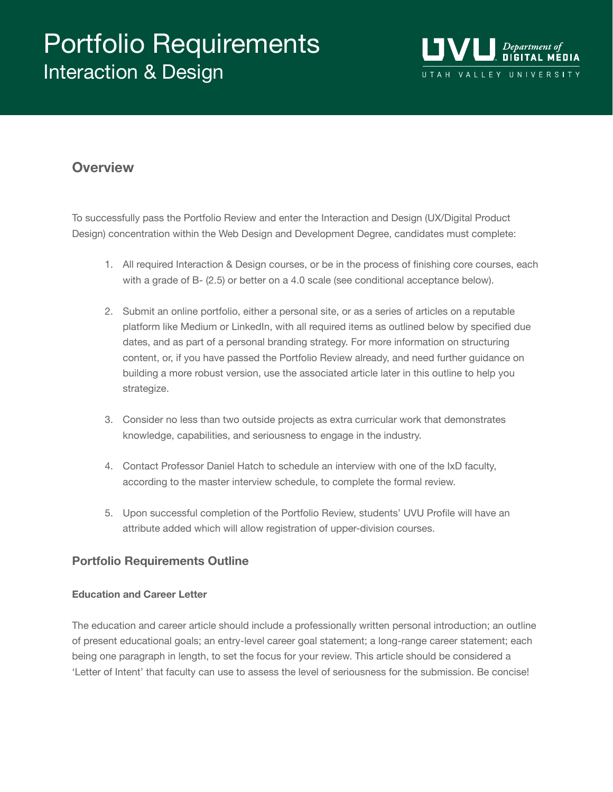# Portfolio Requirements Interaction & Design



# **Overview**

To successfully pass the Portfolio Review and enter the Interaction and Design (UX/Digital Product Design) concentration within the Web Design and Development Degree, candidates must complete:

- 1. All required Interaction & Design courses, or be in the process of finishing core courses, each with a grade of B- (2.5) or better on a 4.0 scale (see conditional acceptance below).
- 2. Submit an online portfolio, either a personal site, or as a series of articles on a reputable platform like Medium or LinkedIn, with all required items as outlined below by specified due dates, and as part of a personal branding strategy. For more information on structuring content, or, if you have passed the Portfolio Review already, and need further guidance on building a more robust version, use the associated article later in this outline to help you strategize.
- 3. Consider no less than two outside projects as extra curricular work that demonstrates knowledge, capabilities, and seriousness to engage in the industry.
- 4. Contact Professor Daniel Hatch to schedule an interview with one of the IxD faculty, according to the master interview schedule, to complete the formal review.
- 5. Upon successful completion of the Portfolio Review, students' UVU Profile will have an attribute added which will allow registration of upper-division courses.

### **Portfolio Requirements Outline**

#### **Education and Career Letter**

The education and career article should include a professionally written personal introduction; an outline of present educational goals; an entry-level career goal statement; a long-range career statement; each being one paragraph in length, to set the focus for your review. This article should be considered a 'Letter of Intent' that faculty can use to assess the level of seriousness for the submission. Be concise!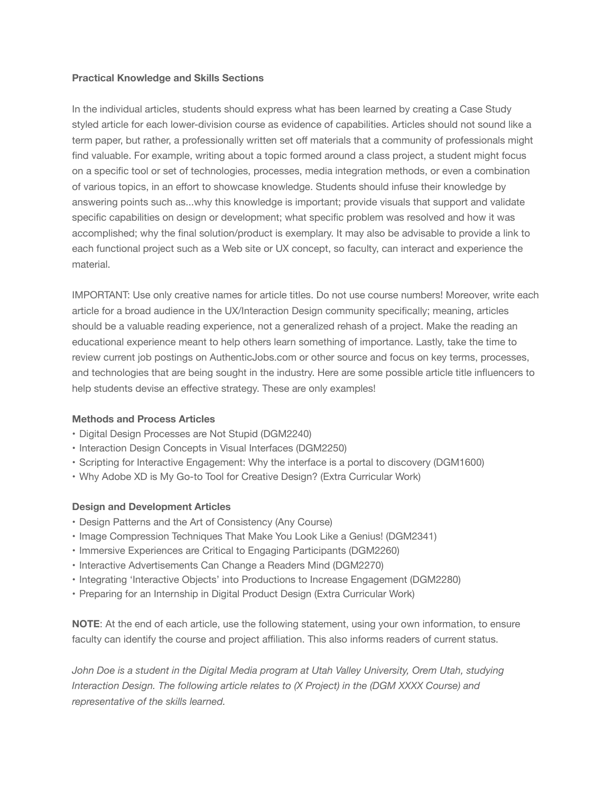#### **Practical Knowledge and Skills Sections**

In the individual articles, students should express what has been learned by creating a Case Study styled article for each lower-division course as evidence of capabilities. Articles should not sound like a term paper, but rather, a professionally written set off materials that a community of professionals might find valuable. For example, writing about a topic formed around a class project, a student might focus on a specific tool or set of technologies, processes, media integration methods, or even a combination of various topics, in an effort to showcase knowledge. Students should infuse their knowledge by answering points such as...why this knowledge is important; provide visuals that support and validate specific capabilities on design or development; what specific problem was resolved and how it was accomplished; why the final solution/product is exemplary. It may also be advisable to provide a link to each functional project such as a Web site or UX concept, so faculty, can interact and experience the material.

IMPORTANT: Use only creative names for article titles. Do not use course numbers! Moreover, write each article for a broad audience in the UX/Interaction Design community specifically; meaning, articles should be a valuable reading experience, not a generalized rehash of a project. Make the reading an educational experience meant to help others learn something of importance. Lastly, take the time to review current job postings on AuthenticJobs.com or other source and focus on key terms, processes, and technologies that are being sought in the industry. Here are some possible article title influencers to help students devise an effective strategy. These are only examples!

#### **Methods and Process Articles**

- Digital Design Processes are Not Stupid (DGM2240)
- Interaction Design Concepts in Visual Interfaces (DGM2250)
- Scripting for Interactive Engagement: Why the interface is a portal to discovery (DGM1600)
- Why Adobe XD is My Go-to Tool for Creative Design? (Extra Curricular Work)

#### **Design and Development Articles**

- Design Patterns and the Art of Consistency (Any Course)
- Image Compression Techniques That Make You Look Like a Genius! (DGM2341)
- Immersive Experiences are Critical to Engaging Participants (DGM2260)
- Interactive Advertisements Can Change a Readers Mind (DGM2270)
- Integrating 'Interactive Objects' into Productions to Increase Engagement (DGM2280)
- Preparing for an Internship in Digital Product Design (Extra Curricular Work)

**NOTE**: At the end of each article, use the following statement, using your own information, to ensure faculty can identify the course and project affiliation. This also informs readers of current status.

John Doe is a student in the Digital Media program at Utah Valley University, Orem Utah, studying *Interaction Design. The following article relates to (X Project) in the (DGM XXXX Course) and representative of the skills learned.*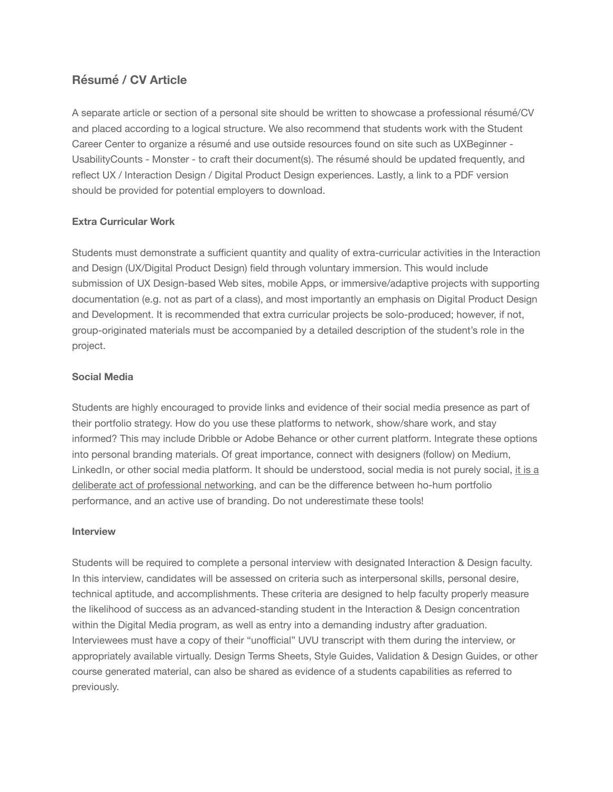## **Résumé / CV Article**

A separate article or section of a personal site should be written to showcase a professional résumé/CV and placed according to a logical structure. We also recommend that students work with the Student Career Center to organize a résumé and use outside resources found on site such as UXBeginner - UsabilityCounts - Monster - to craft their document(s). The résumé should be updated frequently, and reflect UX / Interaction Design / Digital Product Design experiences. Lastly, a link to a PDF version should be provided for potential employers to download.

#### **Extra Curricular Work**

Students must demonstrate a sufficient quantity and quality of extra-curricular activities in the Interaction and Design (UX/Digital Product Design) field through voluntary immersion. This would include submission of UX Design-based Web sites, mobile Apps, or immersive/adaptive projects with supporting documentation (e.g. not as part of a class), and most importantly an emphasis on Digital Product Design and Development. It is recommended that extra curricular projects be solo-produced; however, if not, group-originated materials must be accompanied by a detailed description of the student's role in the project.

#### **Social Media**

Students are highly encouraged to provide links and evidence of their social media presence as part of their portfolio strategy. How do you use these platforms to network, show/share work, and stay informed? This may include Dribble or Adobe Behance or other current platform. Integrate these options into personal branding materials. Of great importance, connect with designers (follow) on Medium, LinkedIn, or other social media platform. It should be understood, social media is not purely social, it is a deliberate act of professional networking, and can be the difference between ho-hum portfolio performance, and an active use of branding. Do not underestimate these tools!

#### **Interview**

Students will be required to complete a personal interview with designated Interaction & Design faculty. In this interview, candidates will be assessed on criteria such as interpersonal skills, personal desire, technical aptitude, and accomplishments. These criteria are designed to help faculty properly measure the likelihood of success as an advanced-standing student in the Interaction & Design concentration within the Digital Media program, as well as entry into a demanding industry after graduation. Interviewees must have a copy of their "unofficial" UVU transcript with them during the interview, or appropriately available virtually. Design Terms Sheets, Style Guides, Validation & Design Guides, or other course generated material, can also be shared as evidence of a students capabilities as referred to previously.